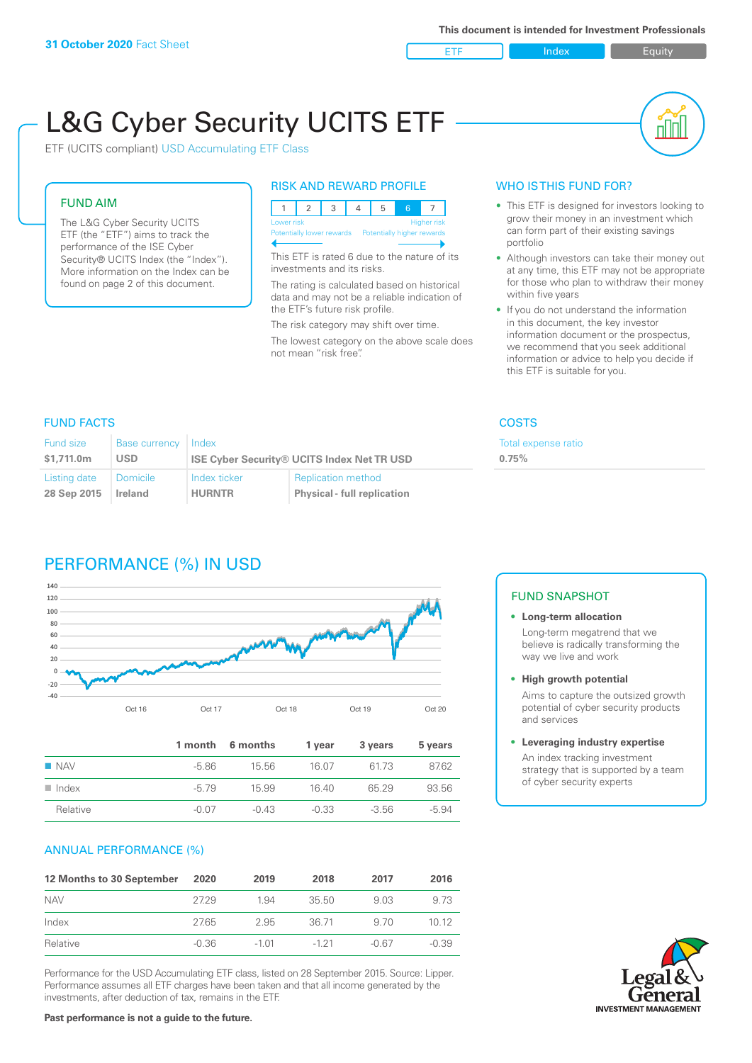ETF Index Buity

пIП

# L&G Cyber Security UCITS ETF

ETF (UCITS compliant) USD Accumulating ETF Class

#### FUND AIM

The L&G Cyber Security UCITS ETF (the "ETF") aims to track the performance of the ISE Cyber Security® UCITS Index (the "Index"). More information on the Index can be found on page 2 of this document.

#### RISK AND REWARD PROFILE

| Lower risk                                            |  |  |  | <b>Higher risk</b> |
|-------------------------------------------------------|--|--|--|--------------------|
| Potentially lower rewards  Potentially higher rewards |  |  |  |                    |

This ETF is rated 6 due to the nature of its investments and its risks.

The rating is calculated based on historical data and may not be a reliable indication of the ETF's future risk profile.

The risk category may shift over time. The lowest category on the above scale does not mean "risk free".

#### WHO IS THIS FUND FOR?

- This ETF is designed for investors looking to grow their money in an investment which can form part of their existing savings portfolio
- Although investors can take their money out at any time, this ETF may not be appropriate for those who plan to withdraw their money within five years
- If you do not understand the information in this document, the key investor information document or the prospectus, we recommend that you seek additional information or advice to help you decide if this ETF is suitable for you.

#### FUND FACTS COSTS

**0.75%**

Total expense ratio

| Fund size    | Base currency   Index |                                                   |                                    |  |
|--------------|-----------------------|---------------------------------------------------|------------------------------------|--|
| \$1,711.0m   | USD                   | <b>ISE Cyber Security® UCITS Index Net TR USD</b> |                                    |  |
| Listing date | ∣ Domicile            | Index ticker                                      | <b>Replication method</b>          |  |
| 28 Sep 2015  | Ireland               | <b>HURNTR</b>                                     | <b>Physical - full replication</b> |  |

## PERFORMANCE (%) IN USD



|                      |         | 1 month 6 months | 1 year  | 3 years | 5 years |
|----------------------|---------|------------------|---------|---------|---------|
| $\blacksquare$ NAV   | -5.86   | 15.56            | 16.07   | 6173    | 87.62   |
| $\blacksquare$ Index | $-579$  | 15.99            | 16.40   | 65 29   | 93.56   |
| Relative             | $-0.07$ | $-0.43$          | $-0.33$ | $-3.56$ | $-5.94$ |

#### ANNUAL PERFORMANCE (%)

| 12 Months to 30 September | 2020    | 2019    | 2018     | 2017  | 2016    |
|---------------------------|---------|---------|----------|-------|---------|
| <b>NAV</b>                | 2729    | 1.94    | 35.50    | 9.03  | 9.73    |
| Index                     | 27.65   | 2.95    | 36.71    | 9.70  | 1012    |
| Relative                  | $-0.36$ | $-1.01$ | $-1, 21$ | -0.67 | $-0.39$ |

Performance for the USD Accumulating ETF class, listed on 28 September 2015. Source: Lipper. Performance assumes all ETF charges have been taken and that all income generated by the investments, after deduction of tax, remains in the ETF.

#### FUND SNAPSHOT

#### **• Long-term allocation** Long-term megatrend that we believe is radically transforming the way we live and work

**• High growth potential**

Aims to capture the outsized growth potential of cyber security products and services

#### **• Leveraging industry expertise**

An index tracking investment strategy that is supported by a team of cyber security experts

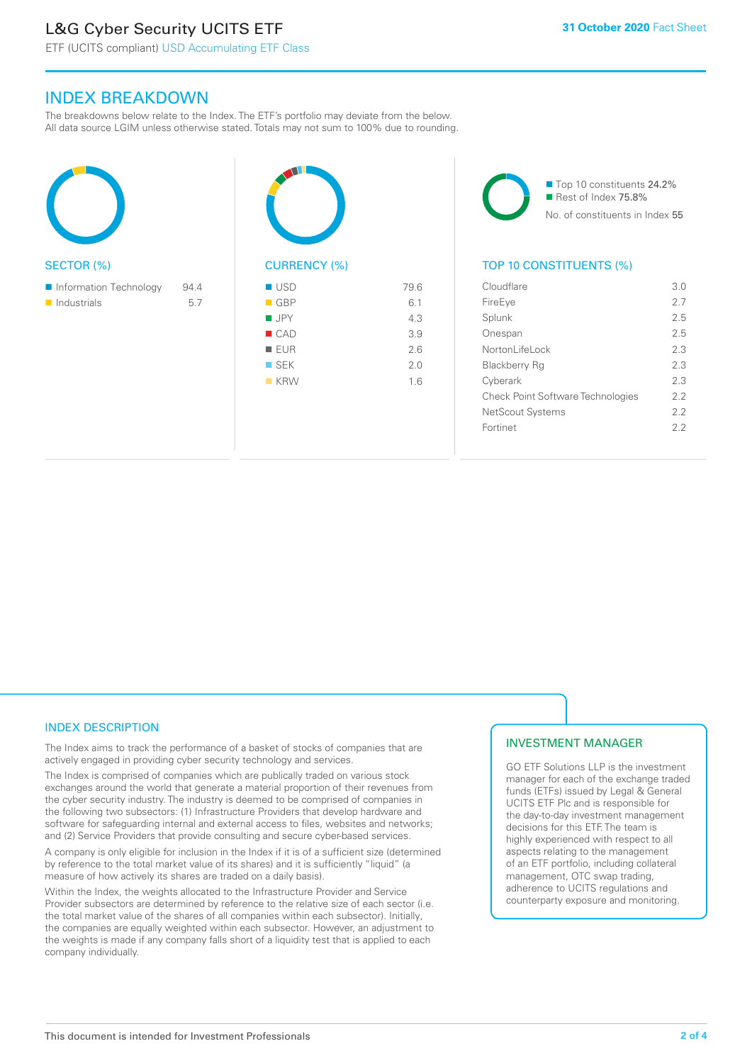# L&G Cyber Security UCITS ETF

### INDEX BREAKDOWN

The breakdowns below relate to the Index. The ETF's portfolio may deviate from the below. All data source LGIM unless otherwise stated. Totals may not sum to 100% due to rounding.





■ Top 10 constituents 24.2% Rest of Index 75.8% No. of constituents in Index 55

#### TOP 10 CONSTITUENTS (%)

| Cloudflare                               | 3.0 |
|------------------------------------------|-----|
| FireEye                                  | 27  |
| Splunk                                   | 25  |
| Onespan                                  | 25  |
| Nortonl ifel ock                         | 23  |
| Blackberry Rq                            | 2.3 |
| Cyberark                                 | 23  |
| <b>Check Point Software Technologies</b> | 22  |
| NetScout Systems                         | 22  |
| Fortinet                                 | フフ  |
|                                          |     |

#### INDEX DESCRIPTION

The Index aims to track the performance of a basket of stocks of companies that are actively engaged in providing cyber security technology and services.

The Index is comprised of companies which are publically traded on various stock exchanges around the world that generate a material proportion of their revenues from the cyber security industry. The industry is deemed to be comprised of companies in the following two subsectors: (1) Infrastructure Providers that develop hardware and software for safeguarding internal and external access to files, websites and networks; and (2) Service Providers that provide consulting and secure cyber-based services.

A company is only eligible for inclusion in the Index if it is of a sufficient size (determined by reference to the total market value of its shares) and it is sufficiently "liquid" (a measure of how actively its shares are traded on a daily basis).

Within the Index, the weights allocated to the Infrastructure Provider and Service Provider subsectors are determined by reference to the relative size of each sector (i.e. the total market value of the shares of all companies within each subsector). Initially, the companies are equally weighted within each subsector. However, an adjustment to the weights is made if any company falls short of a liquidity test that is applied to each company individually.

#### INVESTMENT MANAGER

GO ETF Solutions LLP is the investment manager for each of the exchange traded funds (ETFs) issued by Legal & General UCITS ETF Plc and is responsible for the day-to-day investment management decisions for this ETF. The team is highly experienced with respect to all aspects relating to the management of an ETF portfolio, including collateral management, OTC swap trading, adherence to UCITS regulations and counterparty exposure and monitoring.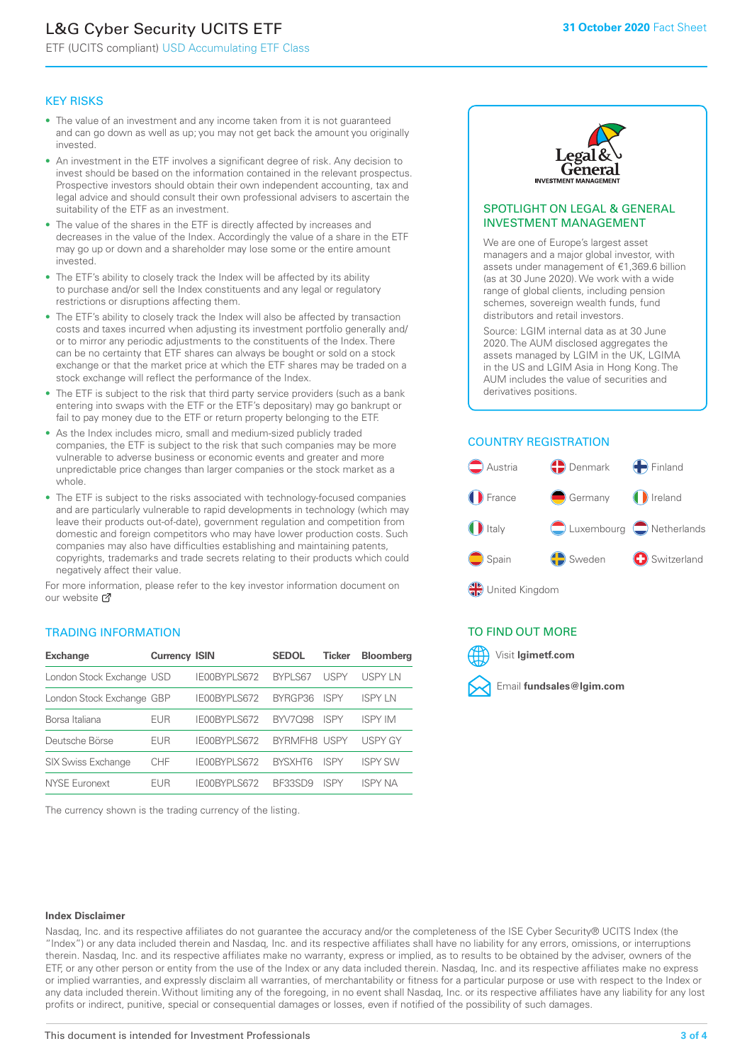# L&G Cyber Security UCITS ETF

ETF (UCITS compliant) USD Accumulating ETF Class

#### KEY RISKS

- The value of an investment and any income taken from it is not guaranteed and can go down as well as up; you may not get back the amount you originally invested.
- An investment in the ETF involves a significant degree of risk. Any decision to invest should be based on the information contained in the relevant prospectus. Prospective investors should obtain their own independent accounting, tax and legal advice and should consult their own professional advisers to ascertain the suitability of the ETF as an investment.
- The value of the shares in the ETF is directly affected by increases and decreases in the value of the Index. Accordingly the value of a share in the ETF may go up or down and a shareholder may lose some or the entire amount invested.
- The ETF's ability to closely track the Index will be affected by its ability to purchase and/or sell the Index constituents and any legal or regulatory restrictions or disruptions affecting them.
- The ETF's ability to closely track the Index will also be affected by transaction costs and taxes incurred when adjusting its investment portfolio generally and/ or to mirror any periodic adjustments to the constituents of the Index. There can be no certainty that ETF shares can always be bought or sold on a stock exchange or that the market price at which the ETF shares may be traded on a stock exchange will reflect the performance of the Index.
- The ETF is subject to the risk that third party service providers (such as a bank entering into swaps with the ETF or the ETF's depositary) may go bankrupt or fail to pay money due to the ETF or return property belonging to the ETF.
- As the Index includes micro, small and medium-sized publicly traded companies, the ETF is subject to the risk that such companies may be more vulnerable to adverse business or economic events and greater and more unpredictable price changes than larger companies or the stock market as a whole.
- The ETF is subject to the risks associated with technology-focused companies and are particularly vulnerable to rapid developments in technology (which may leave their products out-of-date), government regulation and competition from domestic and foreign competitors who may have lower production costs. Such companies may also have difficulties establishing and maintaining patents, copyrights, trademarks and trade secrets relating to their products which could negatively affect their value.

For more information, please refer to the key investor information document on our website Ø

#### TRADING INFORMATION

| <b>Exchange</b>           | <b>Currency ISIN</b> |              | <b>SEDOL</b>   | <b>Ticker</b> | <b>Bloomberg</b> |
|---------------------------|----------------------|--------------|----------------|---------------|------------------|
| London Stock Exchange USD |                      | IE00BYPLS672 | <b>BYPLS67</b> | <b>USPY</b>   | <b>USPYLN</b>    |
| London Stock Exchange GBP |                      | IE00BYPLS672 | BYRGP36        | <b>ISPY</b>   | ISPY I N         |
| Borsa Italiana            | EUR                  | IE00BYPLS672 | <b>BYV7098</b> | <b>ISPY</b>   | <b>ISPY IM</b>   |
| Deutsche Börse            | EUR                  | IF00BYPLS672 | BYRMFH8 USPY   |               | <b>USPY GY</b>   |
| <b>SIX Swiss Exchange</b> | <b>CHF</b>           | IE00BYPLS672 | <b>RYSXHT6</b> | <b>ISPY</b>   | <b>ISPY SW</b>   |
| NYSE Euronext             | FUR                  | IE00BYPLS672 | <b>BE33SD9</b> | ISPY          | <b>ISPY NA</b>   |

The currency shown is the trading currency of the listing.



#### SPOTLIGHT ON LEGAL & GENERAL INVESTMENT MANAGEMENT

We are one of Europe's largest asset managers and a major global investor, with assets under management of €1,369.6 billion (as at 30 June 2020). We work with a wide range of global clients, including pension schemes, sovereign wealth funds, fund distributors and retail investors.

Source: LGIM internal data as at 30 June 2020. The AUM disclosed aggregates the assets managed by LGIM in the UK, LGIMA in the US and LGIM Asia in Hong Kong. The AUM includes the value of securities and derivatives positions.

#### COUNTRY REGISTRATION



#### TO FIND OUT MORE



#### **Index Disclaimer**

Nasdaq, Inc. and its respective affiliates do not guarantee the accuracy and/or the completeness of the ISE Cyber Security® UCITS Index (the "Index") or any data included therein and Nasdaq, Inc. and its respective affiliates shall have no liability for any errors, omissions, or interruptions therein. Nasdaq, Inc. and its respective affiliates make no warranty, express or implied, as to results to be obtained by the adviser, owners of the ETF, or any other person or entity from the use of the Index or any data included therein. Nasdaq, Inc. and its respective affiliates make no express or implied warranties, and expressly disclaim all warranties, of merchantability or fitness for a particular purpose or use with respect to the Index or any data included therein. Without limiting any of the foregoing, in no event shall Nasdaq, Inc. or its respective affiliates have any liability for any lost profits or indirect, punitive, special or consequential damages or losses, even if notified of the possibility of such damages.